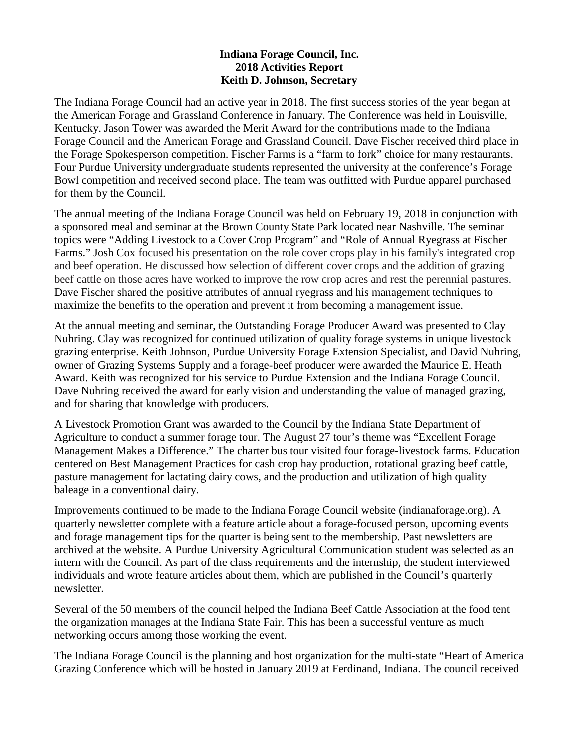## **Indiana Forage Council, Inc. 2018 Activities Report Keith D. Johnson, Secretary**

The Indiana Forage Council had an active year in 2018. The first success stories of the year began at the American Forage and Grassland Conference in January. The Conference was held in Louisville, Kentucky. Jason Tower was awarded the Merit Award for the contributions made to the Indiana Forage Council and the American Forage and Grassland Council. Dave Fischer received third place in the Forage Spokesperson competition. Fischer Farms is a "farm to fork" choice for many restaurants. Four Purdue University undergraduate students represented the university at the conference's Forage Bowl competition and received second place. The team was outfitted with Purdue apparel purchased for them by the Council.

The annual meeting of the Indiana Forage Council was held on February 19, 2018 in conjunction with a sponsored meal and seminar at the Brown County State Park located near Nashville. The seminar topics were "Adding Livestock to a Cover Crop Program" and "Role of Annual Ryegrass at Fischer Farms." Josh Cox focused his presentation on the role cover crops play in his family's integrated crop and beef operation. He discussed how selection of different cover crops and the addition of grazing beef cattle on those acres have worked to improve the row crop acres and rest the perennial pastures. Dave Fischer shared the positive attributes of annual ryegrass and his management techniques to maximize the benefits to the operation and prevent it from becoming a management issue.

At the annual meeting and seminar, the Outstanding Forage Producer Award was presented to Clay Nuhring. Clay was recognized for continued utilization of quality forage systems in unique livestock grazing enterprise. Keith Johnson, Purdue University Forage Extension Specialist, and David Nuhring, owner of Grazing Systems Supply and a forage-beef producer were awarded the Maurice E. Heath Award. Keith was recognized for his service to Purdue Extension and the Indiana Forage Council. Dave Nuhring received the award for early vision and understanding the value of managed grazing, and for sharing that knowledge with producers.

A Livestock Promotion Grant was awarded to the Council by the Indiana State Department of Agriculture to conduct a summer forage tour. The August 27 tour's theme was "Excellent Forage Management Makes a Difference." The charter bus tour visited four forage-livestock farms. Education centered on Best Management Practices for cash crop hay production, rotational grazing beef cattle, pasture management for lactating dairy cows, and the production and utilization of high quality baleage in a conventional dairy.

Improvements continued to be made to the Indiana Forage Council website (indianaforage.org). A quarterly newsletter complete with a feature article about a forage-focused person, upcoming events and forage management tips for the quarter is being sent to the membership. Past newsletters are archived at the website. A Purdue University Agricultural Communication student was selected as an intern with the Council. As part of the class requirements and the internship, the student interviewed individuals and wrote feature articles about them, which are published in the Council's quarterly newsletter.

Several of the 50 members of the council helped the Indiana Beef Cattle Association at the food tent the organization manages at the Indiana State Fair. This has been a successful venture as much networking occurs among those working the event.

The Indiana Forage Council is the planning and host organization for the multi-state "Heart of America Grazing Conference which will be hosted in January 2019 at Ferdinand, Indiana. The council received